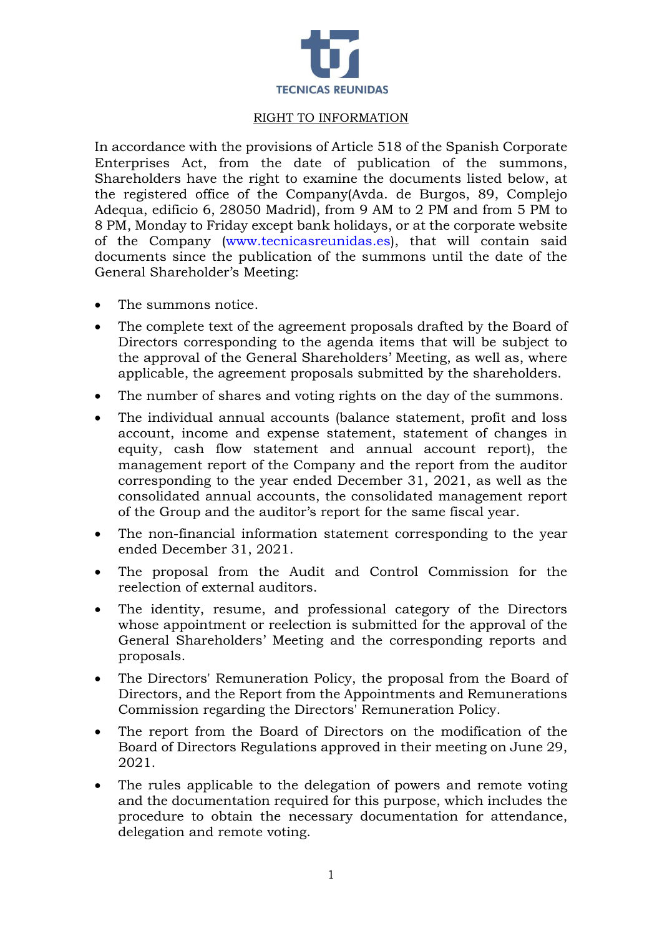

## RIGHT TO INFORMATION

In accordance with the provisions of Article 518 of the Spanish Corporate Enterprises Act, from the date of publication of the summons, Shareholders have the right to examine the documents listed below, at the registered office of the Company(Avda. de Burgos, 89, Complejo Adequa, edificio 6, 28050 Madrid), from 9 AM to 2 PM and from 5 PM to 8 PM, Monday to Friday except bank holidays, or at the corporate website of the Company [\(www.tecnicasreunidas.es\)](http://www.tecnicasreunidas.es/), that will contain said documents since the publication of the summons until the date of the General Shareholder's Meeting:

- The summons notice.
- The complete text of the agreement proposals drafted by the Board of Directors corresponding to the agenda items that will be subject to the approval of the General Shareholders' Meeting, as well as, where applicable, the agreement proposals submitted by the shareholders.
- The number of shares and voting rights on the day of the summons.
- The individual annual accounts (balance statement, profit and loss account, income and expense statement, statement of changes in equity, cash flow statement and annual account report), the management report of the Company and the report from the auditor corresponding to the year ended December 31, 2021, as well as the consolidated annual accounts, the consolidated management report of the Group and the auditor's report for the same fiscal year.
- The non-financial information statement corresponding to the year ended December 31, 2021.
- The proposal from the Audit and Control Commission for the reelection of external auditors.
- The identity, resume, and professional category of the Directors whose appointment or reelection is submitted for the approval of the General Shareholders' Meeting and the corresponding reports and proposals.
- The Directors' Remuneration Policy, the proposal from the Board of Directors, and the Report from the Appointments and Remunerations Commission regarding the Directors' Remuneration Policy.
- The report from the Board of Directors on the modification of the Board of Directors Regulations approved in their meeting on June 29, 2021.
- The rules applicable to the delegation of powers and remote voting and the documentation required for this purpose, which includes the procedure to obtain the necessary documentation for attendance, delegation and remote voting.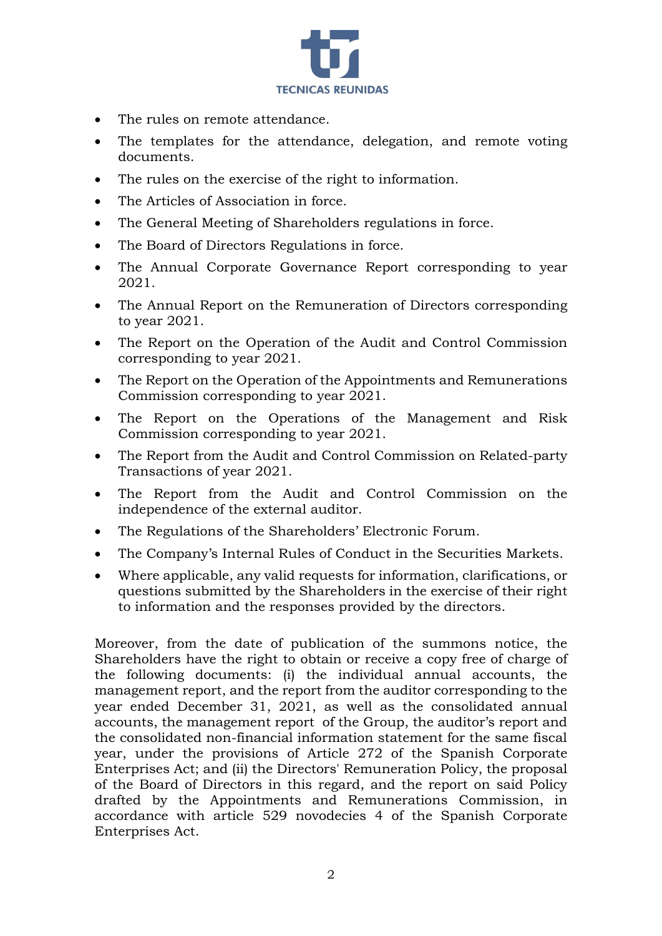

- The rules on remote attendance.
- The templates for the attendance, delegation, and remote voting documents.
- The rules on the exercise of the right to information.
- The Articles of Association in force.
- The General Meeting of Shareholders regulations in force.
- The Board of Directors Regulations in force.
- The Annual Corporate Governance Report corresponding to year 2021.
- The Annual Report on the Remuneration of Directors corresponding to year 2021.
- The Report on the Operation of the Audit and Control Commission corresponding to year 2021.
- The Report on the Operation of the Appointments and Remunerations Commission corresponding to year 2021.
- The Report on the Operations of the Management and Risk Commission corresponding to year 2021.
- The Report from the Audit and Control Commission on Related-party Transactions of year 2021.
- The Report from the Audit and Control Commission on the independence of the external auditor.
- The Regulations of the Shareholders' Electronic Forum.
- The Company's Internal Rules of Conduct in the Securities Markets.
- Where applicable, any valid requests for information, clarifications, or questions submitted by the Shareholders in the exercise of their right to information and the responses provided by the directors.

Moreover, from the date of publication of the summons notice, the Shareholders have the right to obtain or receive a copy free of charge of the following documents: (i) the individual annual accounts, the management report, and the report from the auditor corresponding to the year ended December 31, 2021, as well as the consolidated annual accounts, the management report of the Group, the auditor's report and the consolidated non-financial information statement for the same fiscal year, under the provisions of Article 272 of the Spanish Corporate Enterprises Act; and (ii) the Directors' Remuneration Policy, the proposal of the Board of Directors in this regard, and the report on said Policy drafted by the Appointments and Remunerations Commission, in accordance with article 529 novodecies 4 of the Spanish Corporate Enterprises Act.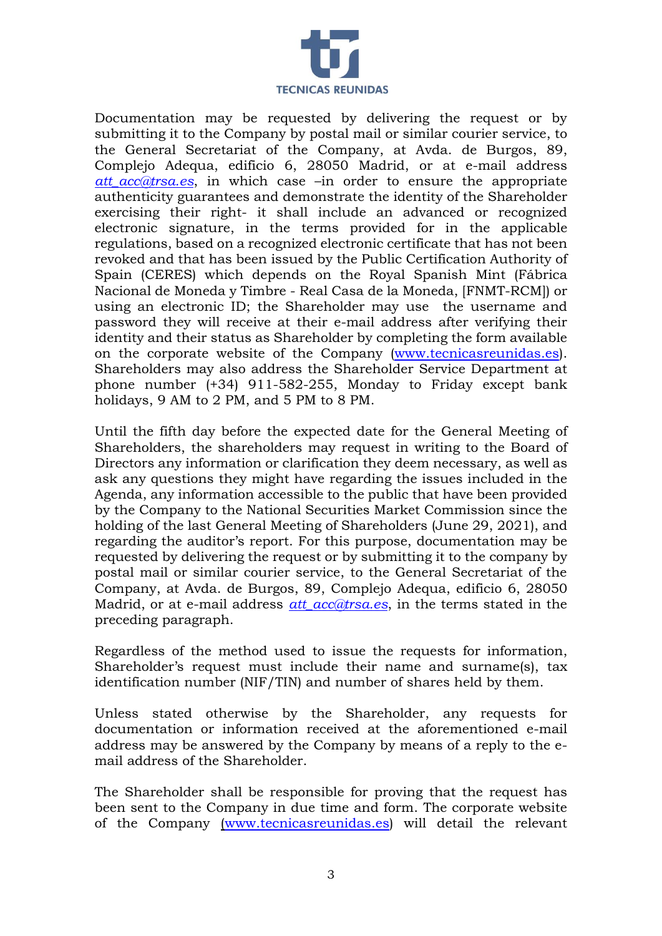

Documentation may be requested by delivering the request or by submitting it to the Company by postal mail or similar courier service, to the General Secretariat of the Company, at Avda. de Burgos, 89, Complejo Adequa, edificio 6, 28050 Madrid, or at e-mail address *att\_acc@trsa.es*, in which case –in order to ensure the appropriate authenticity guarantees and demonstrate the identity of the Shareholder exercising their right- it shall include an advanced or recognized electronic signature, in the terms provided for in the applicable regulations, based on a recognized electronic certificate that has not been revoked and that has been issued by the Public Certification Authority of Spain (CERES) which depends on the Royal Spanish Mint (Fábrica Nacional de Moneda y Timbre - Real Casa de la Moneda, [FNMT-RCM]) or using an electronic ID; the Shareholder may use the username and password they will receive at their e-mail address after verifying their identity and their status as Shareholder by completing the form available on the corporate website of the Company [\(www.tecnicasreunidas.es\)](http://www.tecnicasreunidas.es/). Shareholders may also address the Shareholder Service Department at phone number (+34) 911-582-255, Monday to Friday except bank holidays, 9 AM to 2 PM, and 5 PM to 8 PM.

Until the fifth day before the expected date for the General Meeting of Shareholders, the shareholders may request in writing to the Board of Directors any information or clarification they deem necessary, as well as ask any questions they might have regarding the issues included in the Agenda, any information accessible to the public that have been provided by the Company to the National Securities Market Commission since the holding of the last General Meeting of Shareholders (June 29, 2021), and regarding the auditor's report. For this purpose, documentation may be requested by delivering the request or by submitting it to the company by postal mail or similar courier service, to the General Secretariat of the Company, at Avda. de Burgos, 89, Complejo Adequa, edificio 6, 28050 Madrid, or at e-mail address *[att\\_acc@trsa.es](mailto:att_acc@trsa.es)*, in the terms stated in the preceding paragraph.

Regardless of the method used to issue the requests for information, Shareholder's request must include their name and surname(s), tax identification number (NIF/TIN) and number of shares held by them.

Unless stated otherwise by the Shareholder, any requests for documentation or information received at the aforementioned e-mail address may be answered by the Company by means of a reply to the email address of the Shareholder.

The Shareholder shall be responsible for proving that the request has been sent to the Company in due time and form. The corporate website of the Company [\(www.tecnicasreunidas.es\)](http://www.tecnicasreunidas.es/) will detail the relevant